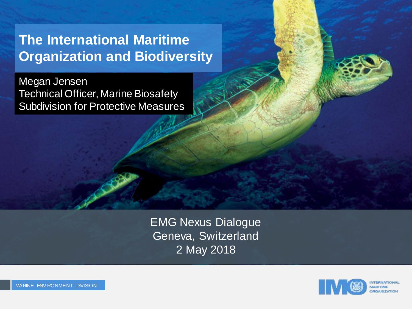#### **The International Maritime Organization and Biodiversity**

Megan Jensen Technical Officer, Marine Biosafety Subdivision for Protective Measures

> EMG Nexus Dialogue Geneva, Switzerland 2 May 2018

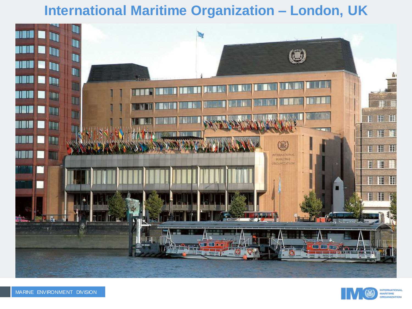#### **International Maritime Organization – London, UK**





**INTERNATIONAL**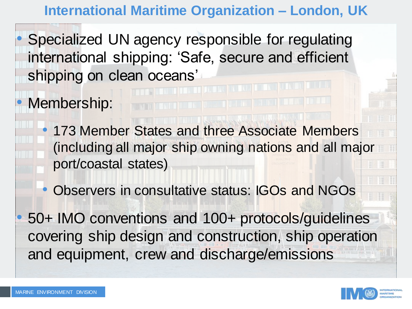**International Maritime Organization – London, UK**

Specialized UN agency responsible for regulating international shipping: 'Safe, secure and efficient shipping on clean oceans'

Membership:

- 173 Member States and three Associate Members (including all major ship owning nations and all major port/coastal states)
- Observers in consultative status: IGOs and NGOs
- 50+ IMO conventions and 100+ protocols/guidelines covering ship design and construction, ship operation and equipment, crew and discharge/emissions

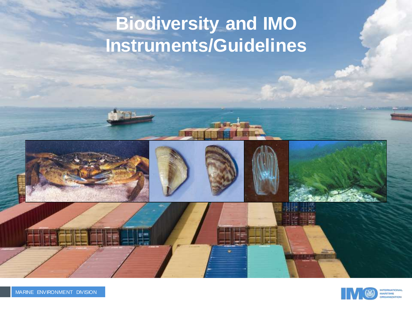## **Biodiversity and IMO Instruments/Guidelines**





**FRNATIONA** 

**CANIZATION**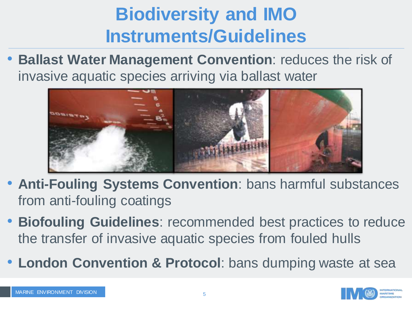## **Biodiversity and IMO Instruments/Guidelines**

• **Ballast Water Management Convention**: reduces the risk of invasive aquatic species arriving via ballast water



- **Anti-Fouling Systems Convention**: bans harmful substances from anti-fouling coatings
- **Biofouling Guidelines**: recommended best practices to reduce the transfer of invasive aquatic species from fouled hulls
- **London Convention & Protocol**: bans dumping waste at sea

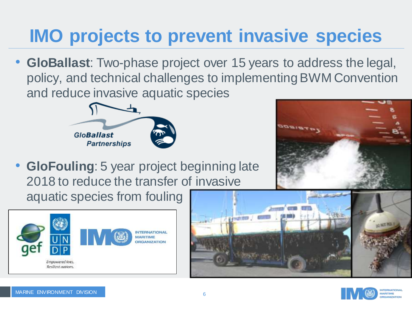## **IMO projects to prevent invasive species**

• **GloBallast**: Two-phase project over 15 years to address the legal, policy, and technical challenges to implementing BWM Convention and reduce invasive aquatic species



• **GloFouling**: 5 year project beginning late 2018 to reduce the transfer of invasive aquatic species from fouling







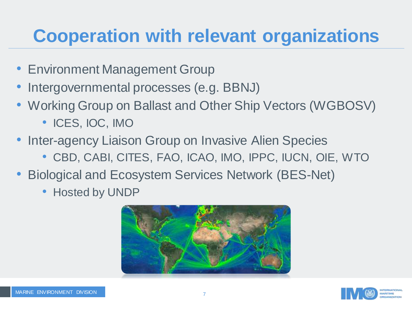#### **Cooperation with relevant organizations**

- Environment Management Group
- Intergovernmental processes (e.g. BBNJ)
- Working Group on Ballast and Other Ship Vectors (WGBOSV)
	- ICES, IOC, IMO
- Inter-agency Liaison Group on Invasive Alien Species
	- CBD, CABI, CITES, FAO, ICAO, IMO, IPPC, IUCN, OIE, WTO
- Biological and Ecosystem Services Network (BES-Net)
	- Hosted by UNDP



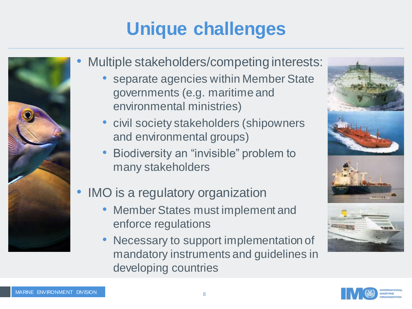# **Unique challenges**



- Multiple stakeholders/competing interests:
	- separate agencies within Member State governments (e.g. maritime and environmental ministries)
	- civil society stakeholders (shipowners and environmental groups)
	- Biodiversity an "invisible" problem to many stakeholders
- IMO is a regulatory organization
	- Member States must implement and enforce regulations
	- Necessary to support implementation of mandatory instruments and guidelines in developing countries



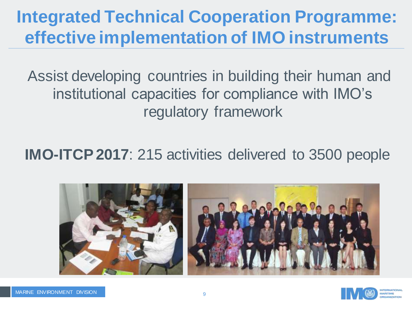#### **Integrated Technical Cooperation Programme: effective implementation of IMO instruments**

Assist developing countries in building their human and institutional capacities for compliance with IMO's regulatory framework

**IMO-ITCP 2017**: 215 activities delivered to 3500 people